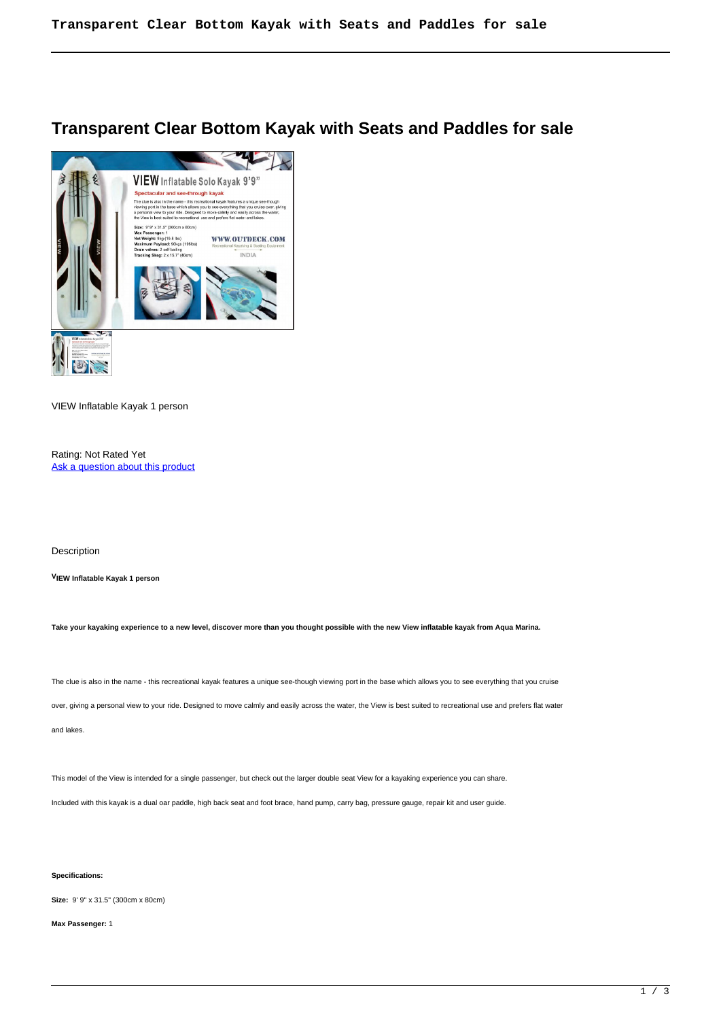## **Transparent Clear Bottom Kayak with Seats and Paddles for sale**



VIEW Inflatable Kayak 1 person

Rating: Not Rated Yet [Ask a question about this product](https://outdeck.com/index.php?option=com_virtuemart&view=productdetails&task=askquestion&virtuemart_product_id=169&virtuemart_category_id=8&tmpl=component) 

Description

**VIEW Inflatable Kayak 1 person**

**Take your kayaking experience to a new level, discover more than you thought possible with the new View inflatable kayak from Aqua Marina.**

The clue is also in the name - this recreational kayak features a unique see-though viewing port in the base which allows you to see everything that you cruise

over, giving a personal view to your ride. Designed to move calmly and easily across the water, the View is best suited to recreational use and prefers flat water

and lakes.

This model of the View is intended for a single passenger, but check out the larger double seat View for a kayaking experience you can share.

Included with this kayak is a dual oar paddle, high back seat and foot brace, hand pump, carry bag, pressure gauge, repair kit and user guide.

## **Specifications:**

**Size:** 9' 9" x 31.5" (300cm x 80cm)

**Max Passenger:** 1